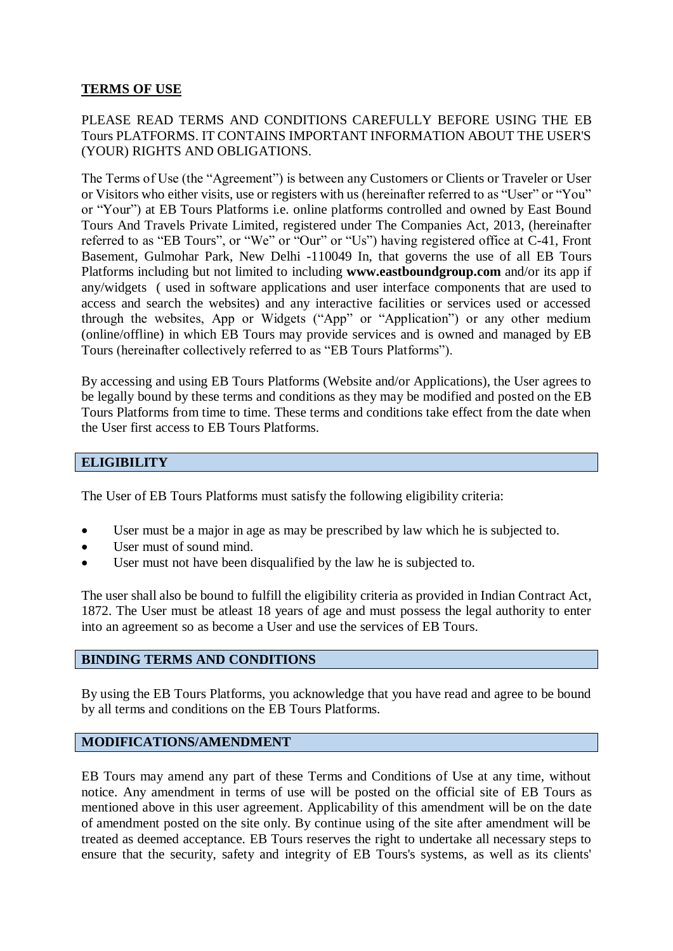### **TERMS OF USE**

## PLEASE READ TERMS AND CONDITIONS CAREFULLY BEFORE USING THE EB Tours PLATFORMS. IT CONTAINS IMPORTANT INFORMATION ABOUT THE USER'S (YOUR) RIGHTS AND OBLIGATIONS.

The Terms of Use (the "Agreement") is between any Customers or Clients or Traveler or User or Visitors who either visits, use or registers with us (hereinafter referred to as "User" or "You" or "Your") at EB Tours Platforms i.e. online platforms controlled and owned by East Bound Tours And Travels Private Limited, registered under The Companies Act, 2013, (hereinafter referred to as "EB Tours", or "We" or "Our" or "Us") having registered office at C-41, Front Basement, Gulmohar Park, New Delhi -110049 In, that governs the use of all EB Tours Platforms including but not limited to including **[www.eastboundgroup.com](http://www.eastboundgroup.com/)** and/or its app if any/widgets ( used in software applications and user interface components that are used to access and search the websites) and any interactive facilities or services used or accessed through the websites, App or Widgets ("App" or "Application") or any other medium (online/offline) in which EB Tours may provide services and is owned and managed by EB Tours (hereinafter collectively referred to as "EB Tours Platforms").

By accessing and using EB Tours Platforms (Website and/or Applications), the User agrees to be legally bound by these terms and conditions as they may be modified and posted on the EB Tours Platforms from time to time. These terms and conditions take effect from the date when the User first access to EB Tours Platforms.

### **ELIGIBILITY**

The User of EB Tours Platforms must satisfy the following eligibility criteria:

- User must be a major in age as may be prescribed by law which he is subjected to.
- User must of sound mind.
- User must not have been disqualified by the law he is subjected to.

The user shall also be bound to fulfill the eligibility criteria as provided in Indian Contract Act, 1872. The User must be atleast 18 years of age and must possess the legal authority to enter into an agreement so as become a User and use the services of EB Tours.

### **BINDING TERMS AND CONDITIONS**

By using the EB Tours Platforms, you acknowledge that you have read and agree to be bound by all terms and conditions on the EB Tours Platforms.

### **MODIFICATIONS/AMENDMENT**

EB Tours may amend any part of these Terms and Conditions of Use at any time, without notice. Any amendment in terms of use will be posted on the official site of EB Tours as mentioned above in this user agreement. Applicability of this amendment will be on the date of amendment posted on the site only. By continue using of the site after amendment will be treated as deemed acceptance. EB Tours reserves the right to undertake all necessary steps to ensure that the security, safety and integrity of EB Tours's systems, as well as its clients'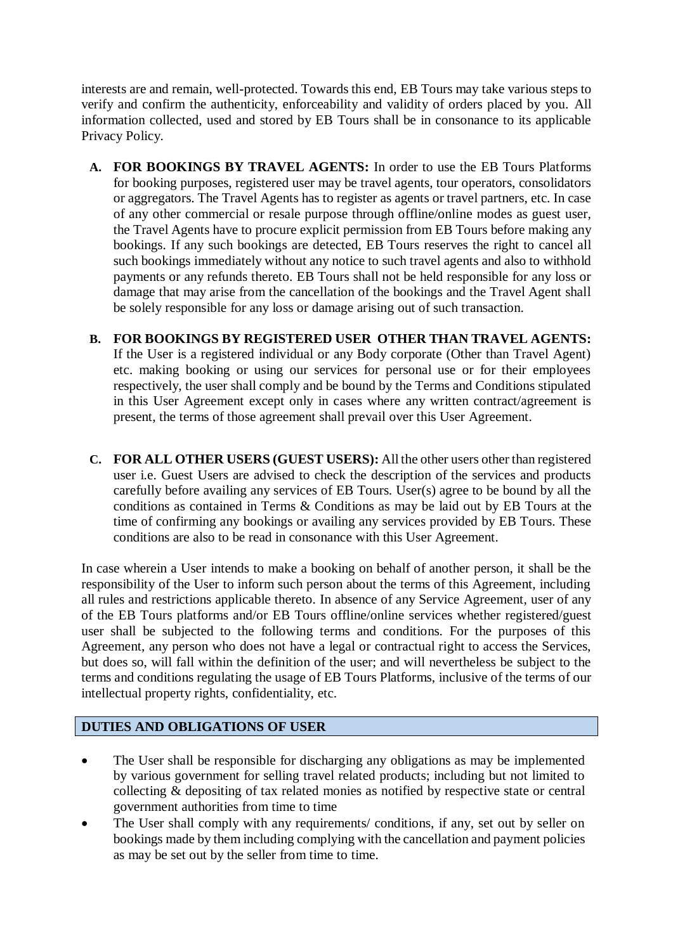interests are and remain, well-protected. Towards this end, EB Tours may take various steps to verify and confirm the authenticity, enforceability and validity of orders placed by you. All information collected, used and stored by EB Tours shall be in consonance to its applicable Privacy Policy.

- **A. FOR BOOKINGS BY TRAVEL AGENTS:** In order to use the EB Tours Platforms for booking purposes, registered user may be travel agents, tour operators, consolidators or aggregators. The Travel Agents has to register as agents or travel partners, etc. In case of any other commercial or resale purpose through offline/online modes as guest user, the Travel Agents have to procure explicit permission from EB Tours before making any bookings. If any such bookings are detected, EB Tours reserves the right to cancel all such bookings immediately without any notice to such travel agents and also to withhold payments or any refunds thereto. EB Tours shall not be held responsible for any loss or damage that may arise from the cancellation of the bookings and the Travel Agent shall be solely responsible for any loss or damage arising out of such transaction.
- **B. FOR BOOKINGS BY REGISTERED USER OTHER THAN TRAVEL AGENTS:** If the User is a registered individual or any Body corporate (Other than Travel Agent) etc. making booking or using our services for personal use or for their employees respectively, the user shall comply and be bound by the Terms and Conditions stipulated in this User Agreement except only in cases where any written contract/agreement is present, the terms of those agreement shall prevail over this User Agreement.
- **C. FOR ALL OTHER USERS (GUEST USERS):** All the other users other than registered user i.e. Guest Users are advised to check the description of the services and products carefully before availing any services of EB Tours. User(s) agree to be bound by all the conditions as contained in Terms & Conditions as may be laid out by EB Tours at the time of confirming any bookings or availing any services provided by EB Tours. These conditions are also to be read in consonance with this User Agreement.

In case wherein a User intends to make a booking on behalf of another person, it shall be the responsibility of the User to inform such person about the terms of this Agreement, including all rules and restrictions applicable thereto. In absence of any Service Agreement, user of any of the EB Tours platforms and/or EB Tours offline/online services whether registered/guest user shall be subjected to the following terms and conditions. For the purposes of this Agreement, any person who does not have a legal or contractual right to access the Services, but does so, will fall within the definition of the user; and will nevertheless be subject to the terms and conditions regulating the usage of EB Tours Platforms, inclusive of the terms of our intellectual property rights, confidentiality, etc.

## **DUTIES AND OBLIGATIONS OF USER**

- The User shall be responsible for discharging any obligations as may be implemented by various government for selling travel related products; including but not limited to collecting & depositing of tax related monies as notified by respective state or central government authorities from time to time
- The User shall comply with any requirements/ conditions, if any, set out by seller on bookings made by them including complying with the cancellation and payment policies as may be set out by the seller from time to time.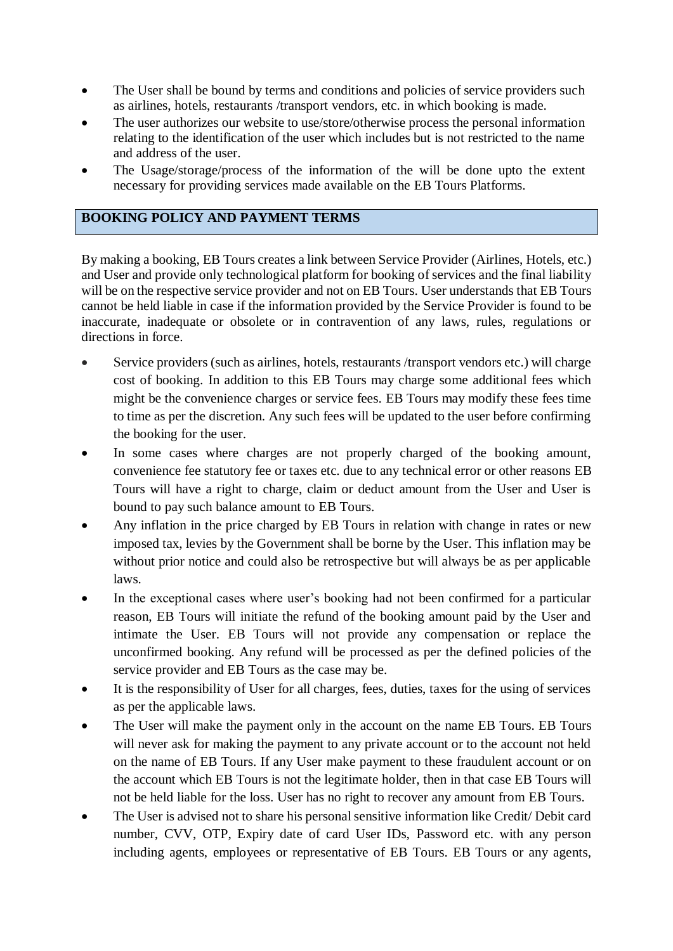- The User shall be bound by terms and conditions and policies of service providers such as airlines, hotels, restaurants /transport vendors, etc. in which booking is made.
- The user authorizes our website to use/store/otherwise process the personal information relating to the identification of the user which includes but is not restricted to the name and address of the user.
- The Usage/storage/process of the information of the will be done upto the extent necessary for providing services made available on the EB Tours Platforms.

# **BOOKING POLICY AND PAYMENT TERMS**

By making a booking, EB Tours creates a link between Service Provider (Airlines, Hotels, etc.) and User and provide only technological platform for booking of services and the final liability will be on the respective service provider and not on EB Tours. User understands that EB Tours cannot be held liable in case if the information provided by the Service Provider is found to be inaccurate, inadequate or obsolete or in contravention of any laws, rules, regulations or directions in force.

- Service providers (such as airlines, hotels, restaurants /transport vendors etc.) will charge cost of booking. In addition to this EB Tours may charge some additional fees which might be the convenience charges or service fees. EB Tours may modify these fees time to time as per the discretion. Any such fees will be updated to the user before confirming the booking for the user.
- In some cases where charges are not properly charged of the booking amount, convenience fee statutory fee or taxes etc. due to any technical error or other reasons EB Tours will have a right to charge, claim or deduct amount from the User and User is bound to pay such balance amount to EB Tours.
- Any inflation in the price charged by EB Tours in relation with change in rates or new imposed tax, levies by the Government shall be borne by the User. This inflation may be without prior notice and could also be retrospective but will always be as per applicable laws.
- In the exceptional cases where user's booking had not been confirmed for a particular reason, EB Tours will initiate the refund of the booking amount paid by the User and intimate the User. EB Tours will not provide any compensation or replace the unconfirmed booking. Any refund will be processed as per the defined policies of the service provider and EB Tours as the case may be.
- It is the responsibility of User for all charges, fees, duties, taxes for the using of services as per the applicable laws.
- The User will make the payment only in the account on the name EB Tours. EB Tours will never ask for making the payment to any private account or to the account not held on the name of EB Tours. If any User make payment to these fraudulent account or on the account which EB Tours is not the legitimate holder, then in that case EB Tours will not be held liable for the loss. User has no right to recover any amount from EB Tours.
- The User is advised not to share his personal sensitive information like Credit/ Debit card number, CVV, OTP, Expiry date of card User IDs, Password etc. with any person including agents, employees or representative of EB Tours. EB Tours or any agents,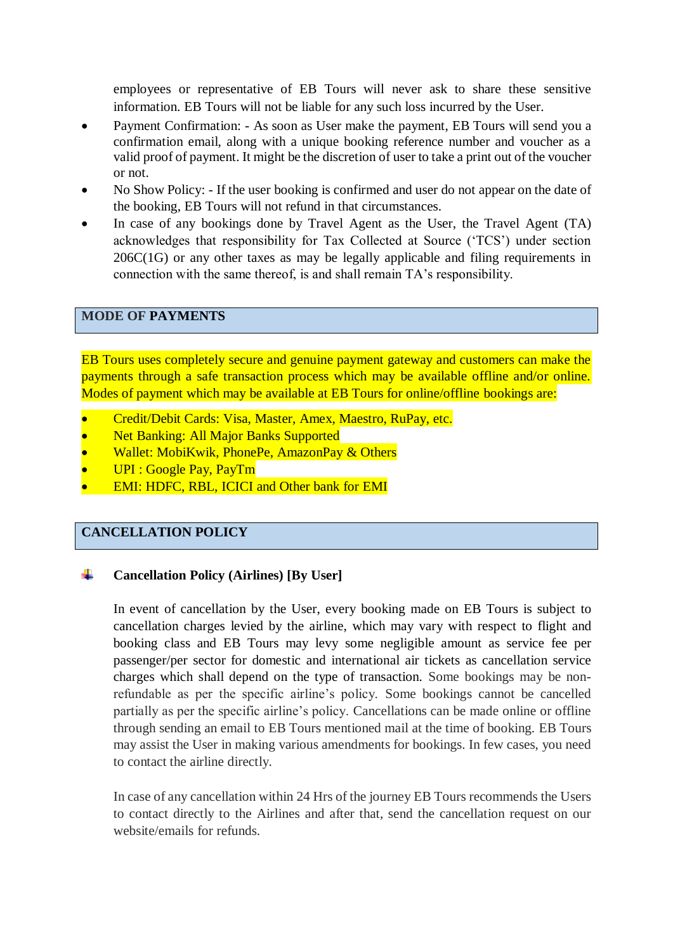employees or representative of EB Tours will never ask to share these sensitive information. EB Tours will not be liable for any such loss incurred by the User.

- Payment Confirmation: As soon as User make the payment, EB Tours will send you a confirmation email, along with a unique booking reference number and voucher as a valid proof of payment. It might be the discretion of user to take a print out of the voucher or not.
- No Show Policy: If the user booking is confirmed and user do not appear on the date of the booking, EB Tours will not refund in that circumstances.
- In case of any bookings done by Travel Agent as the User, the Travel Agent (TA) acknowledges that responsibility for Tax Collected at Source ('TCS') under section 206C(1G) or any other taxes as may be legally applicable and filing requirements in connection with the same thereof, is and shall remain TA's responsibility.

# **MODE OF PAYMENTS**

EB Tours uses completely secure and genuine payment gateway and customers can make the payments through a safe transaction process which may be available offline and/or online. Modes of payment which may be available at EB Tours for online/offline bookings are:

- Credit/Debit Cards: Visa, Master, Amex, Maestro, RuPay, etc.
- Net Banking: All Major Banks Supported
- Wallet: MobiKwik, PhonePe, AmazonPay & Others
- UPI : Google Pay, PayTm
- EMI: HDFC, RBL, ICICI and Other bank for EMI

## **CANCELLATION POLICY**

#### ÷ **Cancellation Policy (Airlines) [By User]**

In event of cancellation by the User, every booking made on EB Tours is subject to cancellation charges levied by the airline, which may vary with respect to flight and booking class and EB Tours may levy some negligible amount as service fee per passenger/per sector for domestic and international air tickets as cancellation service charges which shall depend on the type of transaction. Some bookings may be nonrefundable as per the specific airline's policy. Some bookings cannot be cancelled partially as per the specific airline's policy. Cancellations can be made online or offline through sending an email to EB Tours mentioned mail at the time of booking. EB Tours may assist the User in making various amendments for bookings. In few cases, you need to contact the airline directly.

In case of any cancellation within 24 Hrs of the journey EB Tours recommends the Users to contact directly to the Airlines and after that, send the cancellation request on our website/emails for refunds.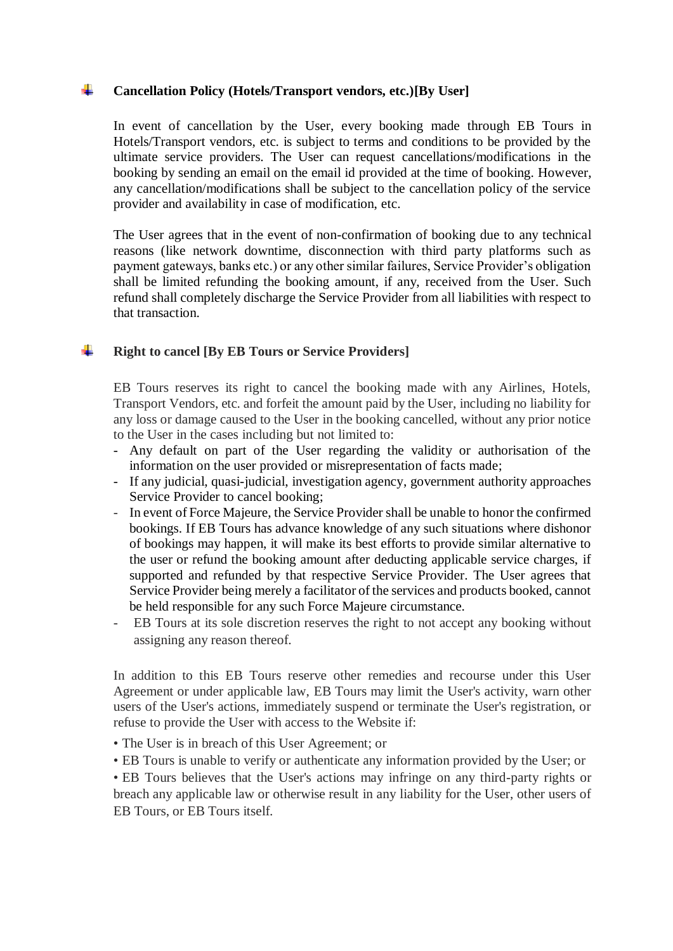#### ÷. **Cancellation Policy (Hotels/Transport vendors, etc.)[By User]**

In event of cancellation by the User, every booking made through EB Tours in Hotels/Transport vendors, etc. is subject to terms and conditions to be provided by the ultimate service providers. The User can request cancellations/modifications in the booking by sending an email on the email id provided at the time of booking. However, any cancellation/modifications shall be subject to the cancellation policy of the service provider and availability in case of modification, etc.

The User agrees that in the event of non-confirmation of booking due to any technical reasons (like network downtime, disconnection with third party platforms such as payment gateways, banks etc.) or any other similar failures, Service Provider's obligation shall be limited refunding the booking amount, if any, received from the User. Such refund shall completely discharge the Service Provider from all liabilities with respect to that transaction.

#### ÷ **Right to cancel [By EB Tours or Service Providers]**

EB Tours reserves its right to cancel the booking made with any Airlines, Hotels, Transport Vendors, etc. and forfeit the amount paid by the User, including no liability for any loss or damage caused to the User in the booking cancelled, without any prior notice to the User in the cases including but not limited to:

- Any default on part of the User regarding the validity or authorisation of the information on the user provided or misrepresentation of facts made;
- If any judicial, quasi-judicial, investigation agency, government authority approaches Service Provider to cancel booking;
- In event of Force Majeure, the Service Provider shall be unable to honor the confirmed bookings. If EB Tours has advance knowledge of any such situations where dishonor of bookings may happen, it will make its best efforts to provide similar alternative to the user or refund the booking amount after deducting applicable service charges, if supported and refunded by that respective Service Provider. The User agrees that Service Provider being merely a facilitator of the services and products booked, cannot be held responsible for any such Force Majeure circumstance.
- EB Tours at its sole discretion reserves the right to not accept any booking without assigning any reason thereof.

In addition to this EB Tours reserve other remedies and recourse under this User Agreement or under applicable law, EB Tours may limit the User's activity, warn other users of the User's actions, immediately suspend or terminate the User's registration, or refuse to provide the User with access to the Website if:

- The User is in breach of this User Agreement; or
- EB Tours is unable to verify or authenticate any information provided by the User; or

• EB Tours believes that the User's actions may infringe on any third-party rights or breach any applicable law or otherwise result in any liability for the User, other users of EB Tours, or EB Tours itself.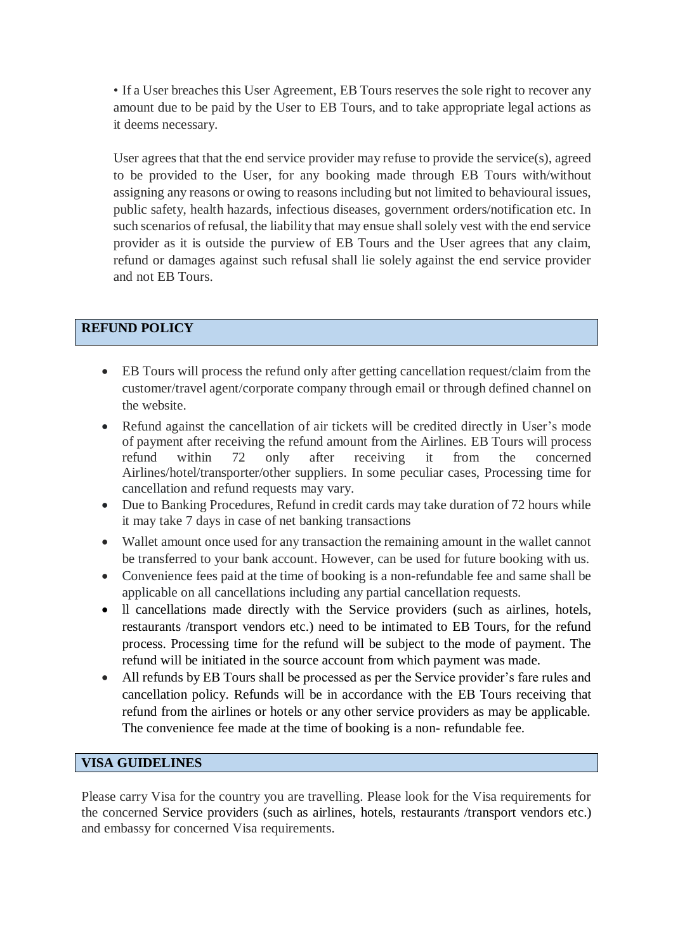• If a User breaches this User Agreement, EB Tours reserves the sole right to recover any amount due to be paid by the User to EB Tours, and to take appropriate legal actions as it deems necessary.

User agrees that that the end service provider may refuse to provide the service(s), agreed to be provided to the User, for any booking made through EB Tours with/without assigning any reasons or owing to reasons including but not limited to behavioural issues, public safety, health hazards, infectious diseases, government orders/notification etc. In such scenarios of refusal, the liability that may ensue shall solely vest with the end service provider as it is outside the purview of EB Tours and the User agrees that any claim, refund or damages against such refusal shall lie solely against the end service provider and not EB Tours.

# **REFUND POLICY**

- EB Tours will process the refund only after getting cancellation request/claim from the customer/travel agent/corporate company through email or through defined channel on the website.
- Refund against the cancellation of air tickets will be credited directly in User's mode of payment after receiving the refund amount from the Airlines. EB Tours will process refund within 72 only after receiving it from the concerned Airlines/hotel/transporter/other suppliers. In some peculiar cases, Processing time for cancellation and refund requests may vary.
- Due to Banking Procedures, Refund in credit cards may take duration of 72 hours while it may take 7 days in case of net banking transactions
- Wallet amount once used for any transaction the remaining amount in the wallet cannot be transferred to your bank account. However, can be used for future booking with us.
- Convenience fees paid at the time of booking is a non-refundable fee and same shall be applicable on all cancellations including any partial cancellation requests.
- ll cancellations made directly with the Service providers (such as airlines, hotels, restaurants /transport vendors etc.) need to be intimated to EB Tours, for the refund process. Processing time for the refund will be subject to the mode of payment. The refund will be initiated in the source account from which payment was made.
- All refunds by EB Tours shall be processed as per the Service provider's fare rules and cancellation policy. Refunds will be in accordance with the EB Tours receiving that refund from the airlines or hotels or any other service providers as may be applicable. The convenience fee made at the time of booking is a non- refundable fee.

# **VISA GUIDELINES**

Please carry Visa for the country you are travelling. Please look for the Visa requirements for the concerned Service providers (such as airlines, hotels, restaurants /transport vendors etc.) and embassy for concerned Visa requirements.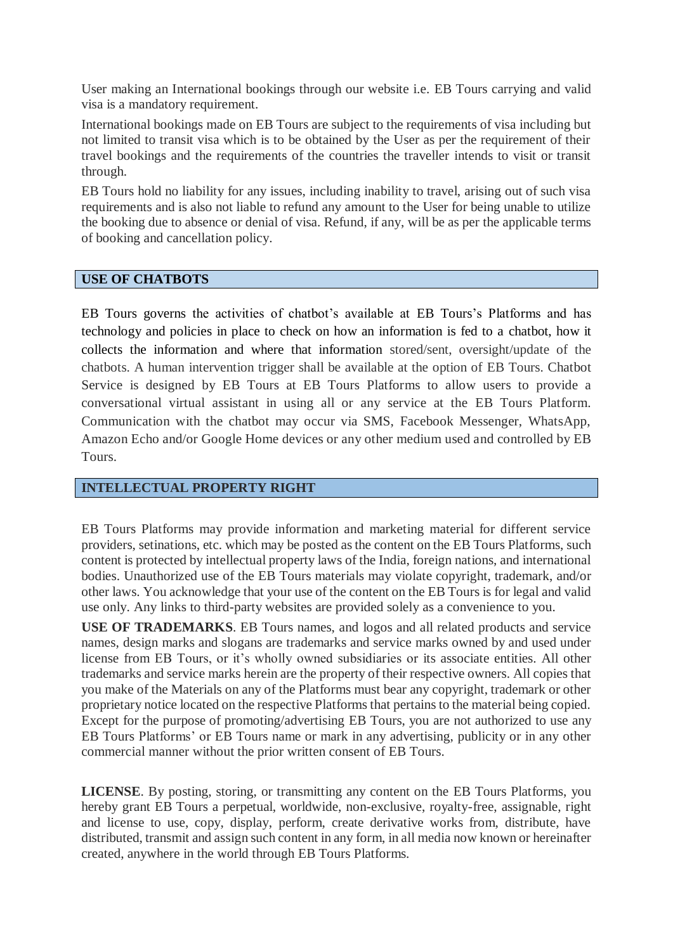User making an International bookings through our website i.e. EB Tours carrying and valid visa is a mandatory requirement.

International bookings made on EB Tours are subject to the requirements of visa including but not limited to transit visa which is to be obtained by the User as per the requirement of their travel bookings and the requirements of the countries the traveller intends to visit or transit through.

EB Tours hold no liability for any issues, including inability to travel, arising out of such visa requirements and is also not liable to refund any amount to the User for being unable to utilize the booking due to absence or denial of visa. Refund, if any, will be as per the applicable terms of booking and cancellation policy.

### **USE OF CHATBOTS**

EB Tours governs the activities of chatbot's available at EB Tours's Platforms and has technology and policies in place to check on how an information is fed to a chatbot, how it collects the information and where that information stored/sent, oversight/update of the chatbots. A human intervention trigger shall be available at the option of EB Tours. Chatbot Service is designed by EB Tours at EB Tours Platforms to allow users to provide a conversational virtual assistant in using all or any service at the EB Tours Platform. Communication with the chatbot may occur via SMS, Facebook Messenger, WhatsApp, Amazon Echo and/or Google Home devices or any other medium used and controlled by EB Tours.

### **INTELLECTUAL PROPERTY RIGHT**

EB Tours Platforms may provide information and marketing material for different service providers, setinations, etc. which may be posted as the content on the EB Tours Platforms, such content is protected by intellectual property laws of the India, foreign nations, and international bodies. Unauthorized use of the EB Tours materials may violate copyright, trademark, and/or other laws. You acknowledge that your use of the content on the EB Tours is for legal and valid use only. Any links to third-party websites are provided solely as a convenience to you.

**USE OF TRADEMARKS**. EB Tours names, and logos and all related products and service names, design marks and slogans are trademarks and service marks owned by and used under license from EB Tours, or it's wholly owned subsidiaries or its associate entities. All other trademarks and service marks herein are the property of their respective owners. All copies that you make of the Materials on any of the Platforms must bear any copyright, trademark or other proprietary notice located on the respective Platforms that pertains to the material being copied. Except for the purpose of promoting/advertising EB Tours, you are not authorized to use any EB Tours Platforms' or EB Tours name or mark in any advertising, publicity or in any other commercial manner without the prior written consent of EB Tours.

**LICENSE**. By posting, storing, or transmitting any content on the EB Tours Platforms, you hereby grant EB Tours a perpetual, worldwide, non-exclusive, royalty-free, assignable, right and license to use, copy, display, perform, create derivative works from, distribute, have distributed, transmit and assign such content in any form, in all media now known or hereinafter created, anywhere in the world through EB Tours Platforms.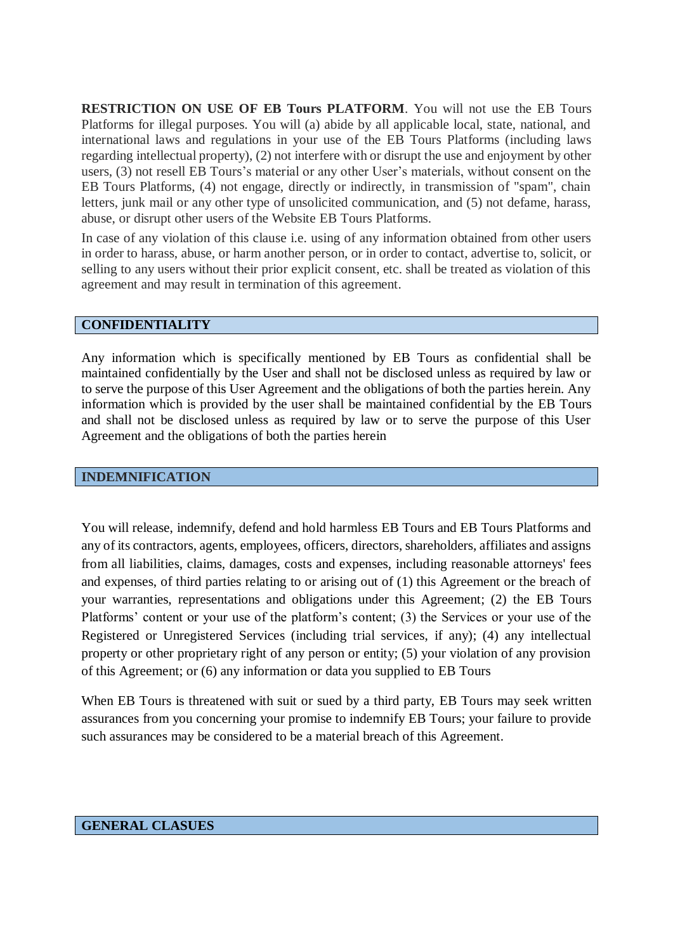**RESTRICTION ON USE OF EB Tours PLATFORM**. You will not use the EB Tours Platforms for illegal purposes. You will (a) abide by all applicable local, state, national, and international laws and regulations in your use of the EB Tours Platforms (including laws regarding intellectual property), (2) not interfere with or disrupt the use and enjoyment by other users, (3) not resell EB Tours's material or any other User's materials, without consent on the EB Tours Platforms, (4) not engage, directly or indirectly, in transmission of "spam", chain letters, junk mail or any other type of unsolicited communication, and (5) not defame, harass, abuse, or disrupt other users of the Website EB Tours Platforms.

In case of any violation of this clause i.e. using of any information obtained from other users in order to harass, abuse, or harm another person, or in order to contact, advertise to, solicit, or selling to any users without their prior explicit consent, etc. shall be treated as violation of this agreement and may result in termination of this agreement.

### **CONFIDENTIALITY**

Any information which is specifically mentioned by EB Tours as confidential shall be maintained confidentially by the User and shall not be disclosed unless as required by law or to serve the purpose of this User Agreement and the obligations of both the parties herein. Any information which is provided by the user shall be maintained confidential by the EB Tours and shall not be disclosed unless as required by law or to serve the purpose of this User Agreement and the obligations of both the parties herein

### **INDEMNIFICATION**

You will release, indemnify, defend and hold harmless EB Tours and EB Tours Platforms and any of its contractors, agents, employees, officers, directors, shareholders, affiliates and assigns from all liabilities, claims, damages, costs and expenses, including reasonable attorneys' fees and expenses, of third parties relating to or arising out of (1) this Agreement or the breach of your warranties, representations and obligations under this Agreement; (2) the EB Tours Platforms' content or your use of the platform's content; (3) the Services or your use of the Registered or Unregistered Services (including trial services, if any); (4) any intellectual property or other proprietary right of any person or entity; (5) your violation of any provision of this Agreement; or (6) any information or data you supplied to EB Tours

When EB Tours is threatened with suit or sued by a third party, EB Tours may seek written assurances from you concerning your promise to indemnify EB Tours; your failure to provide such assurances may be considered to be a material breach of this Agreement.

### **GENERAL CLASUES**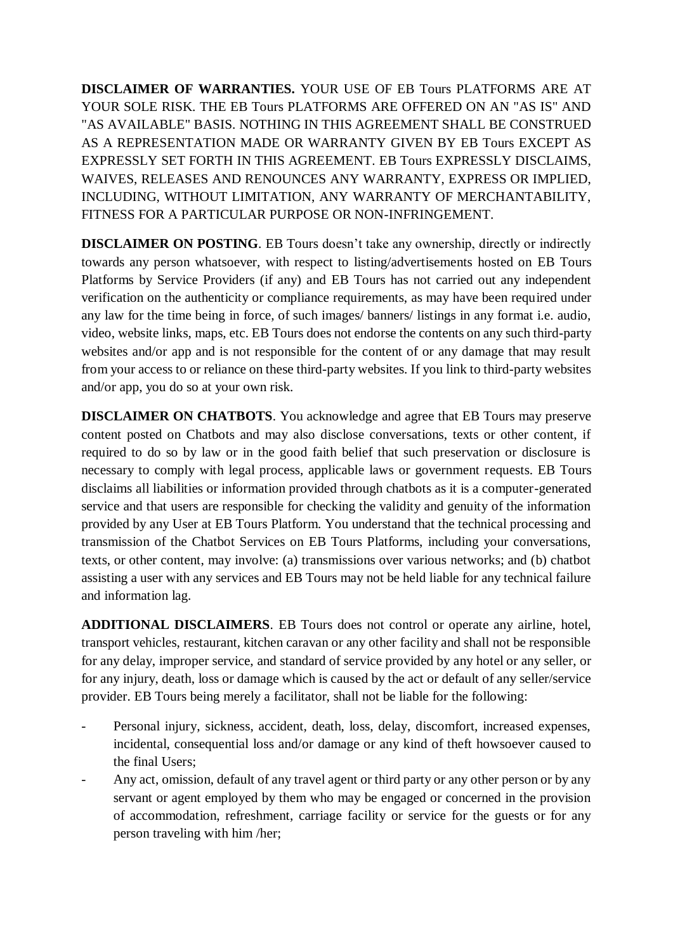**DISCLAIMER OF WARRANTIES.** YOUR USE OF EB Tours PLATFORMS ARE AT YOUR SOLE RISK. THE EB Tours PLATFORMS ARE OFFERED ON AN "AS IS" AND "AS AVAILABLE" BASIS. NOTHING IN THIS AGREEMENT SHALL BE CONSTRUED AS A REPRESENTATION MADE OR WARRANTY GIVEN BY EB Tours EXCEPT AS EXPRESSLY SET FORTH IN THIS AGREEMENT. EB Tours EXPRESSLY DISCLAIMS, WAIVES, RELEASES AND RENOUNCES ANY WARRANTY, EXPRESS OR IMPLIED, INCLUDING, WITHOUT LIMITATION, ANY WARRANTY OF MERCHANTABILITY, FITNESS FOR A PARTICULAR PURPOSE OR NON-INFRINGEMENT.

**DISCLAIMER ON POSTING.** EB Tours doesn't take any ownership, directly or indirectly towards any person whatsoever, with respect to listing/advertisements hosted on EB Tours Platforms by Service Providers (if any) and EB Tours has not carried out any independent verification on the authenticity or compliance requirements, as may have been required under any law for the time being in force, of such images/ banners/ listings in any format i.e. audio, video, website links, maps, etc. EB Tours does not endorse the contents on any such third-party websites and/or app and is not responsible for the content of or any damage that may result from your access to or reliance on these third-party websites. If you link to third-party websites and/or app, you do so at your own risk.

**DISCLAIMER ON CHATBOTS**. You acknowledge and agree that EB Tours may preserve content posted on Chatbots and may also disclose conversations, texts or other content, if required to do so by law or in the good faith belief that such preservation or disclosure is necessary to comply with legal process, applicable laws or government requests. EB Tours disclaims all liabilities or information provided through chatbots as it is a computer-generated service and that users are responsible for checking the validity and genuity of the information provided by any User at EB Tours Platform. You understand that the technical processing and transmission of the Chatbot Services on EB Tours Platforms, including your conversations, texts, or other content, may involve: (a) transmissions over various networks; and (b) chatbot assisting a user with any services and EB Tours may not be held liable for any technical failure and information lag.

**ADDITIONAL DISCLAIMERS**. EB Tours does not control or operate any airline, hotel, transport vehicles, restaurant, kitchen caravan or any other facility and shall not be responsible for any delay, improper service, and standard of service provided by any hotel or any seller, or for any injury, death, loss or damage which is caused by the act or default of any seller/service provider. EB Tours being merely a facilitator, shall not be liable for the following:

- Personal injury, sickness, accident, death, loss, delay, discomfort, increased expenses, incidental, consequential loss and/or damage or any kind of theft howsoever caused to the final Users;
- Any act, omission, default of any travel agent or third party or any other person or by any servant or agent employed by them who may be engaged or concerned in the provision of accommodation, refreshment, carriage facility or service for the guests or for any person traveling with him /her;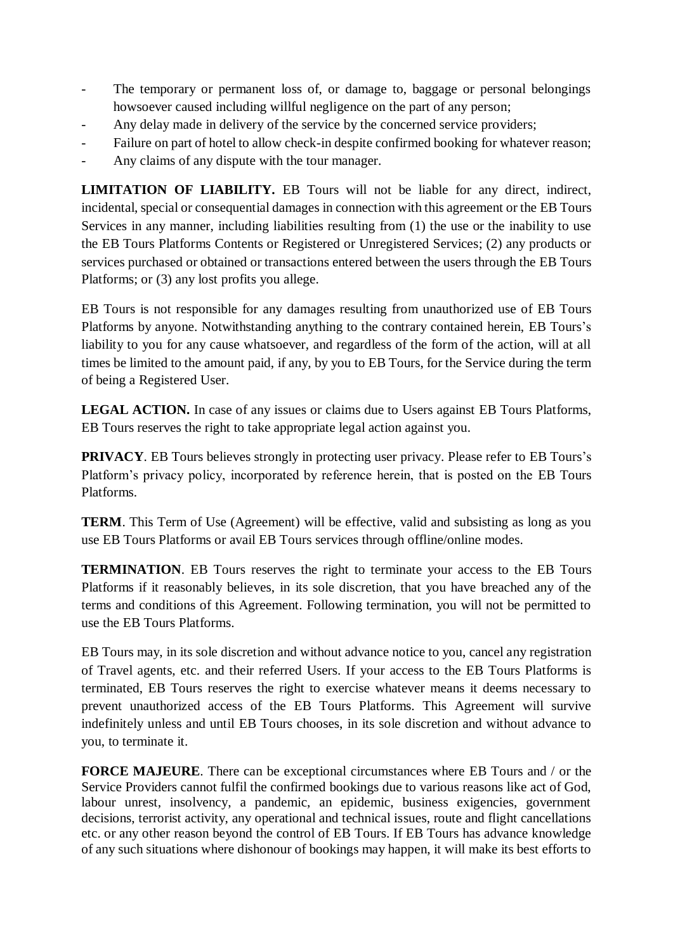- The temporary or permanent loss of, or damage to, baggage or personal belongings howsoever caused including willful negligence on the part of any person;
- Any delay made in delivery of the service by the concerned service providers;
- Failure on part of hotel to allow check-in despite confirmed booking for whatever reason;
- Any claims of any dispute with the tour manager.

**LIMITATION OF LIABILITY.** EB Tours will not be liable for any direct, indirect, incidental, special or consequential damages in connection with this agreement or the EB Tours Services in any manner, including liabilities resulting from (1) the use or the inability to use the EB Tours Platforms Contents or Registered or Unregistered Services; (2) any products or services purchased or obtained or transactions entered between the users through the EB Tours Platforms; or (3) any lost profits you allege.

EB Tours is not responsible for any damages resulting from unauthorized use of EB Tours Platforms by anyone. Notwithstanding anything to the contrary contained herein, EB Tours's liability to you for any cause whatsoever, and regardless of the form of the action, will at all times be limited to the amount paid, if any, by you to EB Tours, for the Service during the term of being a Registered User.

**LEGAL ACTION.** In case of any issues or claims due to Users against EB Tours Platforms, EB Tours reserves the right to take appropriate legal action against you.

**PRIVACY**. EB Tours believes strongly in protecting user privacy. Please refer to EB Tours's Platform's privacy policy, incorporated by reference herein, that is posted on the EB Tours Platforms.

**TERM**. This Term of Use (Agreement) will be effective, valid and subsisting as long as you use EB Tours Platforms or avail EB Tours services through offline/online modes.

**TERMINATION**. EB Tours reserves the right to terminate your access to the EB Tours Platforms if it reasonably believes, in its sole discretion, that you have breached any of the terms and conditions of this Agreement. Following termination, you will not be permitted to use the EB Tours Platforms.

EB Tours may, in its sole discretion and without advance notice to you, cancel any registration of Travel agents, etc. and their referred Users. If your access to the EB Tours Platforms is terminated, EB Tours reserves the right to exercise whatever means it deems necessary to prevent unauthorized access of the EB Tours Platforms. This Agreement will survive indefinitely unless and until EB Tours chooses, in its sole discretion and without advance to you, to terminate it.

**FORCE MAJEURE**. There can be exceptional circumstances where EB Tours and / or the Service Providers cannot fulfil the confirmed bookings due to various reasons like act of God, labour unrest, insolvency, a pandemic, an epidemic, business exigencies, government decisions, terrorist activity, any operational and technical issues, route and flight cancellations etc. or any other reason beyond the control of EB Tours. If EB Tours has advance knowledge of any such situations where dishonour of bookings may happen, it will make its best efforts to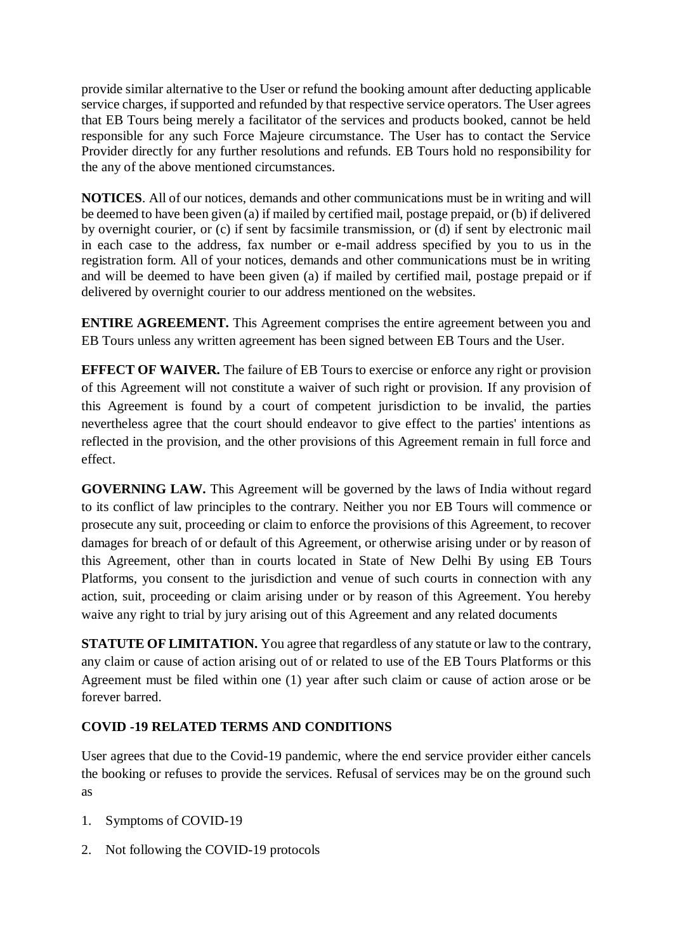provide similar alternative to the User or refund the booking amount after deducting applicable service charges, if supported and refunded by that respective service operators. The User agrees that EB Tours being merely a facilitator of the services and products booked, cannot be held responsible for any such Force Majeure circumstance. The User has to contact the Service Provider directly for any further resolutions and refunds. EB Tours hold no responsibility for the any of the above mentioned circumstances.

**NOTICES**. All of our notices, demands and other communications must be in writing and will be deemed to have been given (a) if mailed by certified mail, postage prepaid, or (b) if delivered by overnight courier, or (c) if sent by facsimile transmission, or (d) if sent by electronic mail in each case to the address, fax number or e-mail address specified by you to us in the registration form. All of your notices, demands and other communications must be in writing and will be deemed to have been given (a) if mailed by certified mail, postage prepaid or if delivered by overnight courier to our address mentioned on the websites.

**ENTIRE AGREEMENT.** This Agreement comprises the entire agreement between you and EB Tours unless any written agreement has been signed between EB Tours and the User.

**EFFECT OF WAIVER.** The failure of EB Tours to exercise or enforce any right or provision of this Agreement will not constitute a waiver of such right or provision. If any provision of this Agreement is found by a court of competent jurisdiction to be invalid, the parties nevertheless agree that the court should endeavor to give effect to the parties' intentions as reflected in the provision, and the other provisions of this Agreement remain in full force and effect.

**GOVERNING LAW.** This Agreement will be governed by the laws of India without regard to its conflict of law principles to the contrary. Neither you nor EB Tours will commence or prosecute any suit, proceeding or claim to enforce the provisions of this Agreement, to recover damages for breach of or default of this Agreement, or otherwise arising under or by reason of this Agreement, other than in courts located in State of New Delhi By using EB Tours Platforms, you consent to the jurisdiction and venue of such courts in connection with any action, suit, proceeding or claim arising under or by reason of this Agreement. You hereby waive any right to trial by jury arising out of this Agreement and any related documents

**STATUTE OF LIMITATION.** You agree that regardless of any statute or law to the contrary, any claim or cause of action arising out of or related to use of the EB Tours Platforms or this Agreement must be filed within one (1) year after such claim or cause of action arose or be forever barred.

# **COVID -19 RELATED TERMS AND CONDITIONS**

User agrees that due to the Covid-19 pandemic, where the end service provider either cancels the booking or refuses to provide the services. Refusal of services may be on the ground such as

- 1. Symptoms of COVID-19
- 2. Not following the COVID-19 protocols